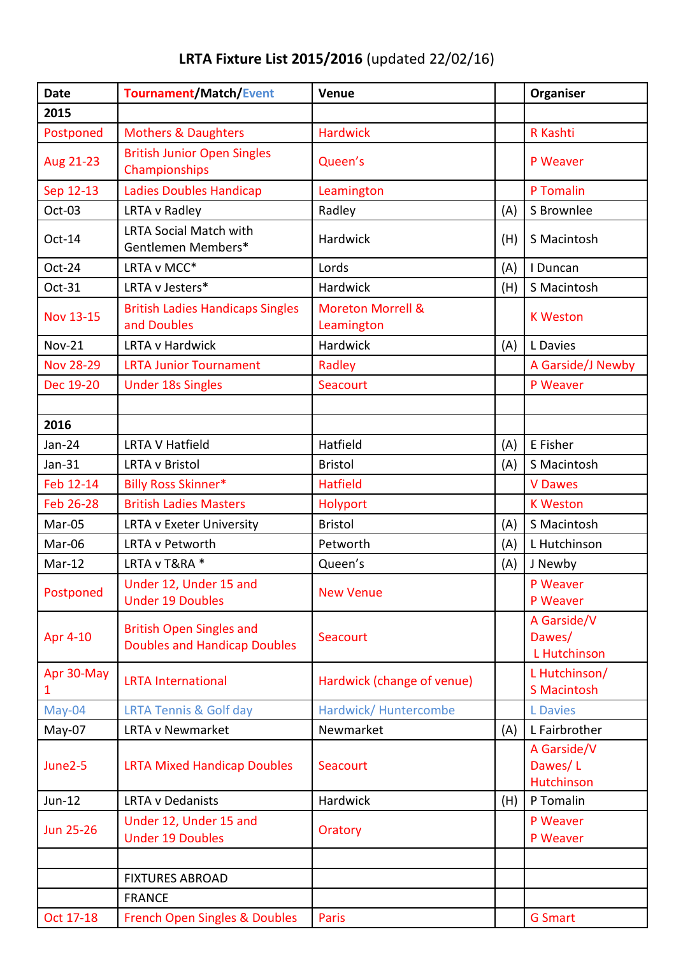## **LRTA Fixture List 2015/2016** (updated 22/02/16)

| <b>Date</b>      | <b>Tournament/Match/Event</b>                                          | Venue                                      |     | Organiser                                   |
|------------------|------------------------------------------------------------------------|--------------------------------------------|-----|---------------------------------------------|
| 2015             |                                                                        |                                            |     |                                             |
| Postponed        | <b>Mothers &amp; Daughters</b>                                         | <b>Hardwick</b>                            |     | R Kashti                                    |
| Aug 21-23        | <b>British Junior Open Singles</b><br>Championships                    | Queen's                                    |     | P Weaver                                    |
| Sep 12-13        | Ladies Doubles Handicap                                                | Leamington                                 |     | P Tomalin                                   |
| Oct-03           | LRTA v Radley                                                          | Radley                                     | (A) | S Brownlee                                  |
| Oct-14           | <b>LRTA Social Match with</b><br>Gentlemen Members*                    | Hardwick                                   | (H) | S Macintosh                                 |
| Oct-24           | LRTA v MCC*                                                            | Lords                                      | (A) | I Duncan                                    |
| Oct-31           | LRTA v Jesters*                                                        | Hardwick                                   | (H) | S Macintosh                                 |
| <b>Nov 13-15</b> | <b>British Ladies Handicaps Singles</b><br>and Doubles                 | <b>Moreton Morrell &amp;</b><br>Leamington |     | <b>K Weston</b>                             |
| <b>Nov-21</b>    | LRTA v Hardwick                                                        | Hardwick                                   | (A) | L Davies                                    |
| <b>Nov 28-29</b> | <b>LRTA Junior Tournament</b>                                          | Radley                                     |     | A Garside/J Newby                           |
| Dec 19-20        | <b>Under 18s Singles</b>                                               | Seacourt                                   |     | P Weaver                                    |
|                  |                                                                        |                                            |     |                                             |
| 2016             |                                                                        |                                            |     |                                             |
| Jan-24           | <b>LRTA V Hatfield</b>                                                 | Hatfield                                   | (A) | E Fisher                                    |
| $Jan-31$         | <b>LRTA v Bristol</b>                                                  | <b>Bristol</b>                             | (A) | S Macintosh                                 |
| Feb 12-14        | <b>Billy Ross Skinner*</b>                                             | <b>Hatfield</b>                            |     | <b>V</b> Dawes                              |
| Feb 26-28        | <b>British Ladies Masters</b>                                          | Holyport                                   |     | <b>K Weston</b>                             |
| Mar-05           | LRTA v Exeter University                                               | <b>Bristol</b>                             | (A) | S Macintosh                                 |
| Mar-06           | LRTA v Petworth                                                        | Petworth                                   | (A) | L Hutchinson                                |
| Mar-12           | LRTA v T&RA *                                                          | Queen's                                    | (A) | J Newby                                     |
| Postponed        | Under 12, Under 15 and<br><b>Under 19 Doubles</b>                      | <b>New Venue</b>                           |     | P Weaver<br>P Weaver                        |
| Apr 4-10         | <b>British Open Singles and</b><br><b>Doubles and Handicap Doubles</b> | Seacourt                                   |     | A Garside/V<br>Dawes/<br>L Hutchinson       |
| Apr 30-May<br>1  | <b>LRTA International</b>                                              | Hardwick (change of venue)                 |     | L Hutchinson/<br><b>S Macintosh</b>         |
| May-04           | <b>LRTA Tennis &amp; Golf day</b>                                      | Hardwick/Huntercombe                       |     | <b>L</b> Davies                             |
| May-07           | <b>LRTA v Newmarket</b>                                                | Newmarket                                  | (A) | L Fairbrother                               |
| June2-5          | <b>LRTA Mixed Handicap Doubles</b>                                     | Seacourt                                   |     | A Garside/V<br>Dawes/L<br><b>Hutchinson</b> |
| $Jun-12$         | <b>LRTA v Dedanists</b>                                                | Hardwick                                   | (H) | P Tomalin                                   |
| <b>Jun 25-26</b> | Under 12, Under 15 and<br><b>Under 19 Doubles</b>                      | Oratory                                    |     | P Weaver<br>P Weaver                        |
|                  |                                                                        |                                            |     |                                             |
|                  | <b>FIXTURES ABROAD</b>                                                 |                                            |     |                                             |
|                  | <b>FRANCE</b>                                                          |                                            |     |                                             |
| Oct 17-18        | French Open Singles & Doubles                                          | Paris                                      |     | <b>G</b> Smart                              |